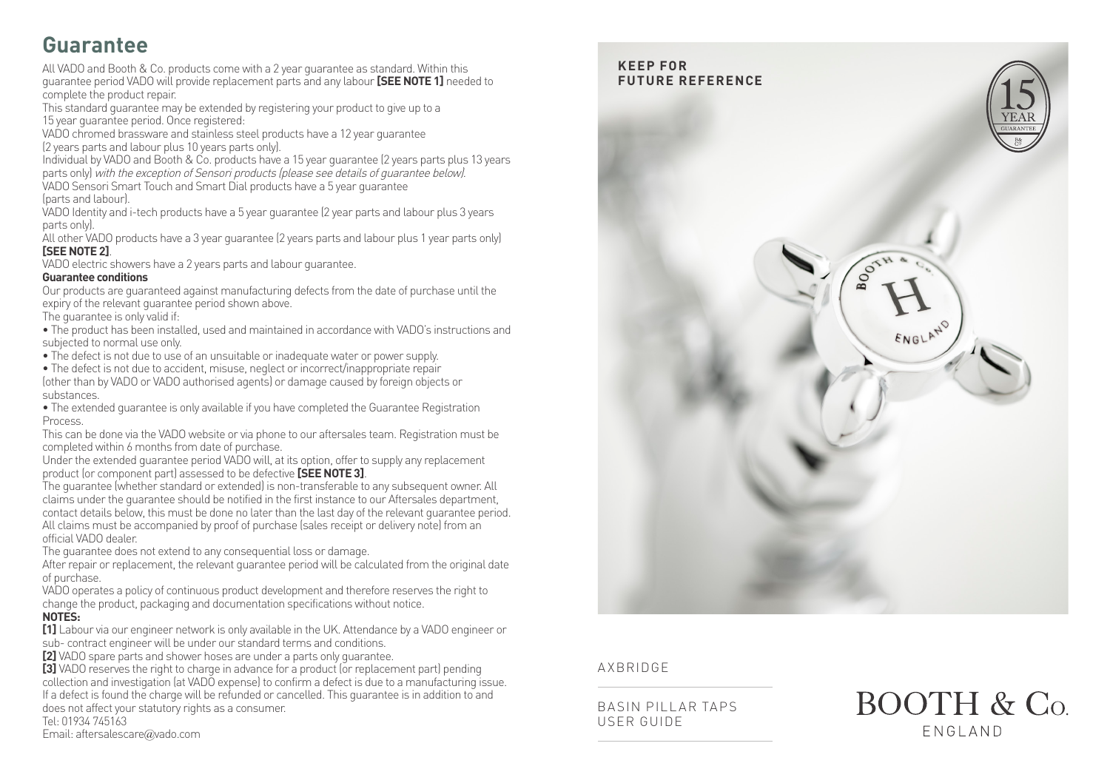# **Guarantee**

All VADO and Booth & Co. products come with a 2 year guarantee as standard. Within this guarantee period VADO will provide replacement parts and any labour **[SEE NOTE 1]** needed to complete the product repair.

This standard guarantee may be extended by registering your product to give up to a 15 year guarantee period. Once registered:

VADO chromed brassware and stainless steel products have a 12 year guarantee (2 years parts and labour plus 10 years parts only).

Individual by VADO and Booth & Co. products have a 15 year guarantee (2 years parts plus 13 years parts only) with the exception of Sensori products (please see details of guarantee below). VADO Sensori Smart Touch and Smart Dial products have a 5 year guarantee

(parts and labour).

VADO Identity and i-tech products have a 5 year guarantee (2 year parts and labour plus 3 years parts only).

All other VADO products have a 3 year guarantee (2 years parts and labour plus 1 year parts only) **[SEE NOTE 2]**.

VADO electric showers have a 2 years parts and labour guarantee.

#### **Guarantee conditions**

Our products are guaranteed against manufacturing defects from the date of purchase until the expiry of the relevant guarantee period shown above.

The guarantee is only valid if:

• The product has been installed, used and maintained in accordance with VADO's instructions and subjected to normal use only.

• The defect is not due to use of an unsuitable or inadequate water or power supply.

• The defect is not due to accident, misuse, neglect or incorrect/inappropriate repair

(other than by VADO or VADO authorised agents) or damage caused by foreign objects or substances.

• The extended guarantee is only available if you have completed the Guarantee Registration **Process** 

This can be done via the VADO website or via phone to our aftersales team. Registration must be completed within 6 months from date of purchase.

Under the extended guarantee period VADO will, at its option, offer to supply any replacement product (or component part) assessed to be defective **[SEE NOTE 3]**.

The guarantee (whether standard or extended) is non-transferable to any subsequent owner. All claims under the guarantee should be notified in the first instance to our Aftersales department, contact details below, this must be done no later than the last day of the relevant guarantee period. All claims must be accompanied by proof of purchase (sales receipt or delivery note) from an official VADO dealer.

The guarantee does not extend to any consequential loss or damage.

After repair or replacement, the relevant quarantee period will be calculated from the original date of purchase.

VADO operates a policy of continuous product development and therefore reserves the right to change the product, packaging and documentation specifications without notice.

#### **NOTES:**

**[1]** Labour via our engineer network is only available in the UK. Attendance by a VADO engineer or sub- contract engineer will be under our standard terms and conditions.

**[2]** VADO spare parts and shower hoses are under a parts only guarantee.

**[3]** VADO reserves the right to charge in advance for a product (or replacement part) pending collection and investigation (at VADO expense) to confirm a defect is due to a manufacturing issue. If a defect is found the charge will be refunded or cancelled. This guarantee is in addition to and does not affect your statutory rights as a consumer. Tel: 01934 745163

Email: aftersalescare@vado.com



#### AXBRIDGE

BASIN PILLAR TAPS USER GUIDE

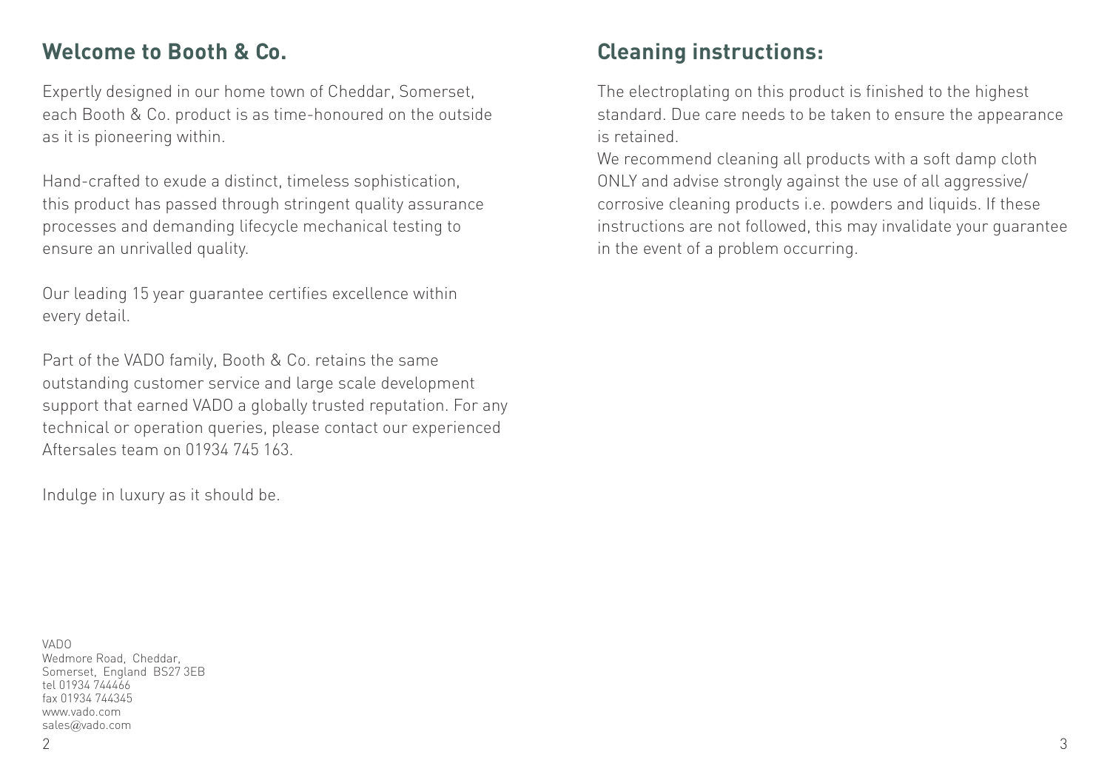## **Welcome to Booth & Co.**

Expertly designed in our home town of Cheddar, Somerset, each Booth & Co. product is as time-honoured on the outside as it is pioneering within.

Hand-crafted to exude a distinct, timeless sophistication, this product has passed through stringent quality assurance processes and demanding lifecycle mechanical testing to ensure an unrivalled quality.

Our leading 15 year guarantee certifies excellence within every detail.

Part of the VADO family, Booth & Co. retains the same outstanding customer service and large scale development support that earned VADO a globally trusted reputation. For any technical or operation queries, please contact our experienced Aftersales team on 01934 745 163.

Indulge in luxury as it should be.

# **Cleaning instructions:**

The electroplating on this product is finished to the highest standard. Due care needs to be taken to ensure the appearance is retained.

We recommend cleaning all products with a soft damp cloth ONLY and advise strongly against the use of all aggressive/ corrosive cleaning products i.e. powders and liquids. If these instructions are not followed, this may invalidate your guarantee in the event of a problem occurring.

VADO Wedmore Road, Cheddar, Somerset, England BS27 3EB tel 01934 744466 fax 01934 744345 www.vado.com sales@vado.com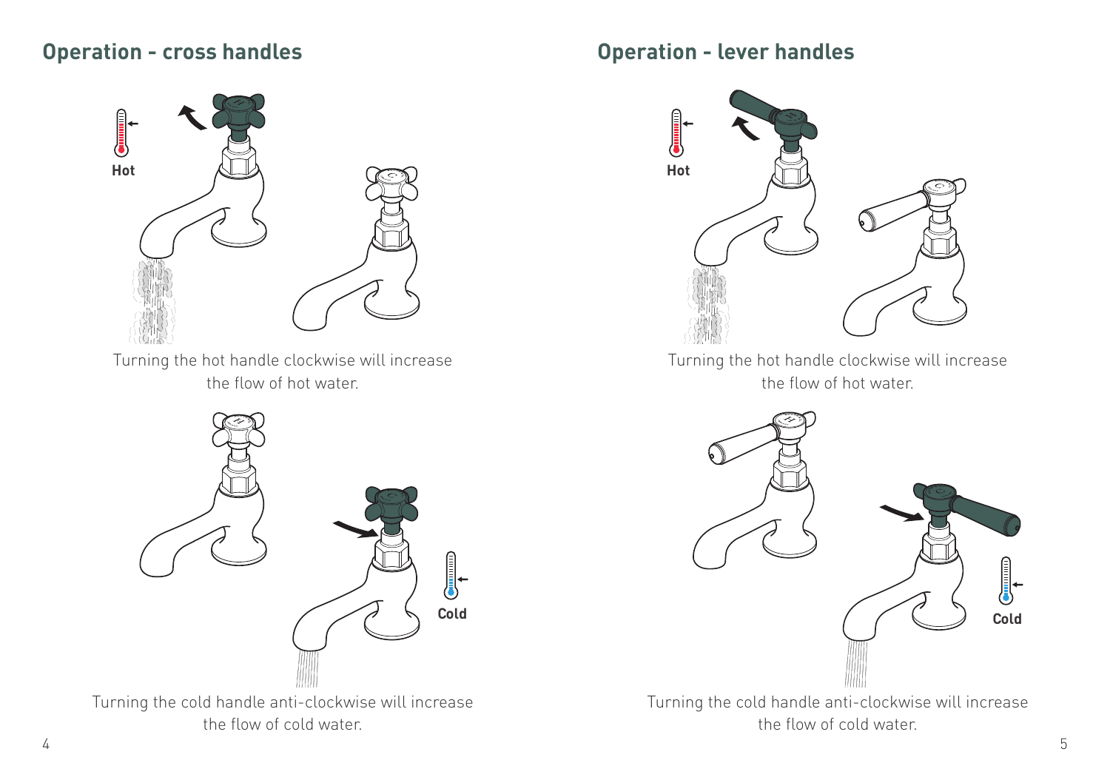### **Operation - cross handles**



Turning the hot handle clockwise will increase the flow of hot water.



Turning the cold handle anti-clockwise will increase the flow of cold water.

## **Operation - lever handles**



Turning the hot handle clockwise will increase the flow of hot water.



Turning the cold handle anti-clockwise will increase the flow of cold water.